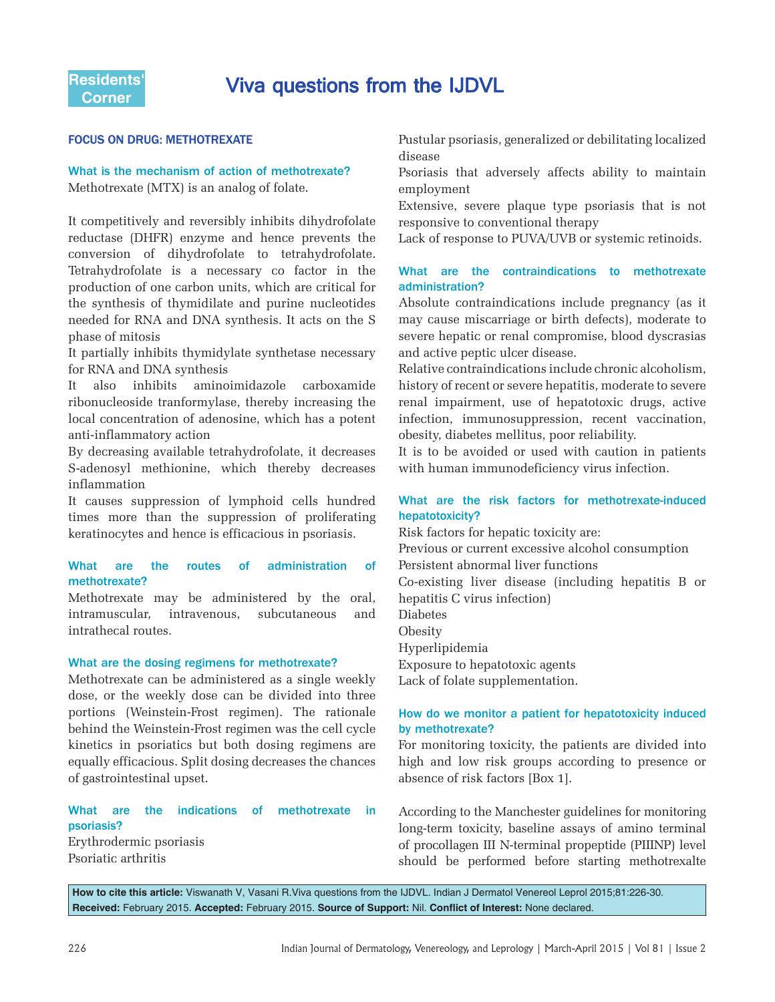# esidents' **Viva questions from the IJDVL**<br>Corner

# **FOCUS ON DRUG: METHOTREXATE**

# What is the mechanism of action of methotrexate? Methotrexate (MTX) is an analog of folate.

It competitively and reversibly inhibits dihydrofolate reductase (DHFR) enzyme and hence prevents the conversion of dihydrofolate to tetrahydrofolate. Tetrahydrofolate is a necessary co factor in the production of one carbon units, which are critical for the synthesis of thymidilate and purine nucleotides needed for RNA and DNA synthesis. It acts on the S phase of mitosis

It partially inhibits thymidylate synthetase necessary for RNA and DNA synthesis

It also inhibits aminoimidazole carboxamide ribonucleoside tranformylase, thereby increasing the local concentration of adenosine, which has a potent anti-inflammatory action

By decreasing available tetrahydrofolate, it decreases S-adenosyl methionine, which thereby decreases inflammation

It causes suppression of lymphoid cells hundred times more than the suppression of proliferating keratinocytes and hence is efficacious in psoriasis.

### What are the routes of administration of methotrexate?

Methotrexate may be administered by the oral, intramuscular, intravenous, subcutaneous and intrathecal routes.

#### What are the dosing regimens for methotrexate?

Methotrexate can be administered as a single weekly dose, or the weekly dose can be divided into three portions (Weinstein-Frost regimen). The rationale behind the Weinstein-Frost regimen was the cell cycle kinetics in psoriatics but both dosing regimens are equally efficacious. Split dosing decreases the chances of gastrointestinal upset.

# What are the indications of methotrexate in psoriasis? Erythrodermic psoriasis

Psoriatic arthritis

Pustular psoriasis, generalized or debilitating localized disease

Psoriasis that adversely affects ability to maintain employment

Extensive, severe plaque type psoriasis that is not responsive to conventional therapy

Lack of response to PUVA/UVB or systemic retinoids.

### What are the contraindications to methotrexate administration?

Absolute contraindications include pregnancy (as it may cause miscarriage or birth defects), moderate to severe hepatic or renal compromise, blood dyscrasias and active peptic ulcer disease.

Relative contraindications include chronic alcoholism, history of recent or severe hepatitis, moderate to severe renal impairment, use of hepatotoxic drugs, active infection, immunosuppression, recent vaccination, obesity, diabetes mellitus, poor reliability.

It is to be avoided or used with caution in patients with human immunodeficiency virus infection.

# What are the risk factors for methotrexate-induced hepatotoxicity?

Risk factors for hepatic toxicity are: Previous or current excessive alcohol consumption Persistent abnormal liver functions Co-existing liver disease (including hepatitis B or hepatitis C virus infection) Diabetes Obesity Hyperlipidemia Exposure to hepatotoxic agents Lack of folate supplementation.

# How do we monitor a patient for hepatotoxicity induced by methotrexate?

For monitoring toxicity, the patients are divided into high and low risk groups according to presence or absence of risk factors [Box 1].

According to the Manchester guidelines for monitoring long-term toxicity, baseline assays of amino terminal of procollagen III N-terminal propeptide (PIIINP) level should be performed before starting methotrexalte

**How to cite this article:** Viswanath V, Vasani R.Viva questions from the IJDVL. Indian J Dermatol Venereol Leprol 2015;81:226-30. Received: February 2015. Accepted: February 2015. Source of Support: Nil. Conflict of Interest: None declared.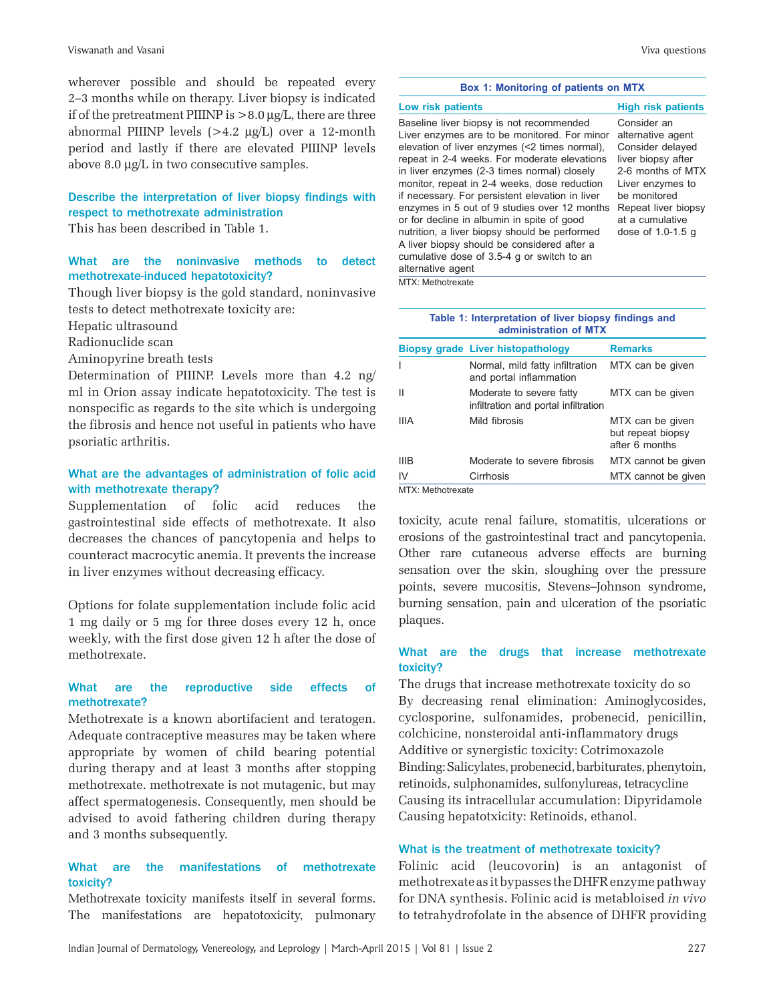wherever possible and should be repeated every 2–3 months while on therapy. Liver biopsy is indicated if of the pretreatment PIIINP is  $> 8.0 \mu g/L$ , there are three abnormal PIIINP levels (>4.2 μg/L) over a 12-month period and lastly if there are elevated PIIINP levels above 8.0 μg/L in two consecutive samples.

# Describe the interpretation of liver biopsy findings with respect to methotrexate administration

This has been described in Table 1.

# What are the noninvasive methods to detect methotrexate-induced hepatotoxicity?

Though liver biopsy is the gold standard, noninvasive tests to detect methotrexate toxicity are:

Hepatic ultrasound

Radionuclide scan

Aminopyrine breath tests

Determination of PIIINP. Levels more than 4.2 ng/ ml in Orion assay indicate hepatotoxicity. The test is nonspecific as regards to the site which is undergoing the fibrosis and hence not useful in patients who have psoriatic arthritis.

### What are the advantages of administration of folic acid with methotrexate therapy?

Supplementation of folic acid reduces the gastrointestinal side effects of methotrexate. It also decreases the chances of pancytopenia and helps to counteract macrocytic anemia. It prevents the increase in liver enzymes without decreasing efficacy.

Options for folate supplementation include folic acid 1 mg daily or 5 mg for three doses every 12 h, once weekly, with the first dose given 12 h after the dose of methotrexate.

### What are the reproductive side effects of methotrexate?

Methotrexate is a known abortifacient and teratogen. Adequate contraceptive measures may be taken where appropriate by women of child bearing potential during therapy and at least 3 months after stopping methotrexate. methotrexate is not mutagenic, but may affect spermatogenesis. Consequently, men should be advised to avoid fathering children during therapy and 3 months subsequently.

### What are the manifestations of methotrexate toxicity?

Methotrexate toxicity manifests itself in several forms. The manifestations are hepatotoxicity, pulmonary

#### **Box 1: Monitoring of patients on MTX**

| Low risk patients                                                                                                                                                                                                                                                                                                                                                                                                                                                                                                                                                                                            | <b>High risk patients</b>                                                                                                                                                                            |
|--------------------------------------------------------------------------------------------------------------------------------------------------------------------------------------------------------------------------------------------------------------------------------------------------------------------------------------------------------------------------------------------------------------------------------------------------------------------------------------------------------------------------------------------------------------------------------------------------------------|------------------------------------------------------------------------------------------------------------------------------------------------------------------------------------------------------|
| Baseline liver biopsy is not recommended<br>Liver enzymes are to be monitored. For minor<br>elevation of liver enzymes (<2 times normal),<br>repeat in 2-4 weeks. For moderate elevations<br>in liver enzymes (2-3 times normal) closely<br>monitor, repeat in 2-4 weeks, dose reduction<br>if necessary. For persistent elevation in liver<br>enzymes in 5 out of 9 studies over 12 months<br>or for decline in albumin in spite of good<br>nutrition, a liver biopsy should be performed<br>A liver biopsy should be considered after a<br>cumulative dose of 3.5-4 g or switch to an<br>alternative agent | Consider an<br>alternative agent<br>Consider delayed<br>liver biopsy after<br>2-6 months of MTX<br>Liver enzymes to<br>be monitored<br>Repeat liver biopsy<br>at a cumulative<br>dose of $1.0-1.5$ q |

MTX: Methotrexate

#### **Table 1: Interpretation of liver biopsy fi ndings and administration of MTX**

| <b>Biopsy grade Liver histopathology</b>                         | <b>Remarks</b>                                          |
|------------------------------------------------------------------|---------------------------------------------------------|
| Normal, mild fatty infiltration<br>and portal inflammation       | MTX can be given                                        |
| Moderate to severe fatty<br>infiltration and portal infiltration | MTX can be given                                        |
| Mild fibrosis                                                    | MTX can be given<br>but repeat biopsy<br>after 6 months |
| Moderate to severe fibrosis                                      | MTX cannot be given                                     |
| Cirrhosis                                                        | MTX cannot be given                                     |
|                                                                  |                                                         |

toxicity, acute renal failure, stomatitis, ulcerations or erosions of the gastrointestinal tract and pancytopenia. Other rare cutaneous adverse effects are burning sensation over the skin, sloughing over the pressure points, severe mucositis, Stevens–Johnson syndrome, burning sensation, pain and ulceration of the psoriatic plaques.

### What are the drugs that increase methotrexate toxicity?

The drugs that increase methotrexate toxicity do so By decreasing renal elimination: Aminoglycosides, cyclosporine, sulfonamides, probenecid, penicillin, colchicine, nonsteroidal anti-inflammatory drugs Additive or synergistic toxicity: Cotrimoxazole Binding: Salicylates, probenecid, barbiturates, phenytoin, retinoids, sulphonamides, sulfonylureas, tetracycline Causing its intracellular accumulation: Dipyridamole Causing hepatotxicity: Retinoids, ethanol.

### What is the treatment of methotrexate toxicity?

Folinic acid (leucovorin) is an antagonist of methotrexate as it bypasses the DHFR enzyme pathway for DNA synthesis. Folinic acid is metabloised *in vivo*  to tetrahydrofolate in the absence of DHFR providing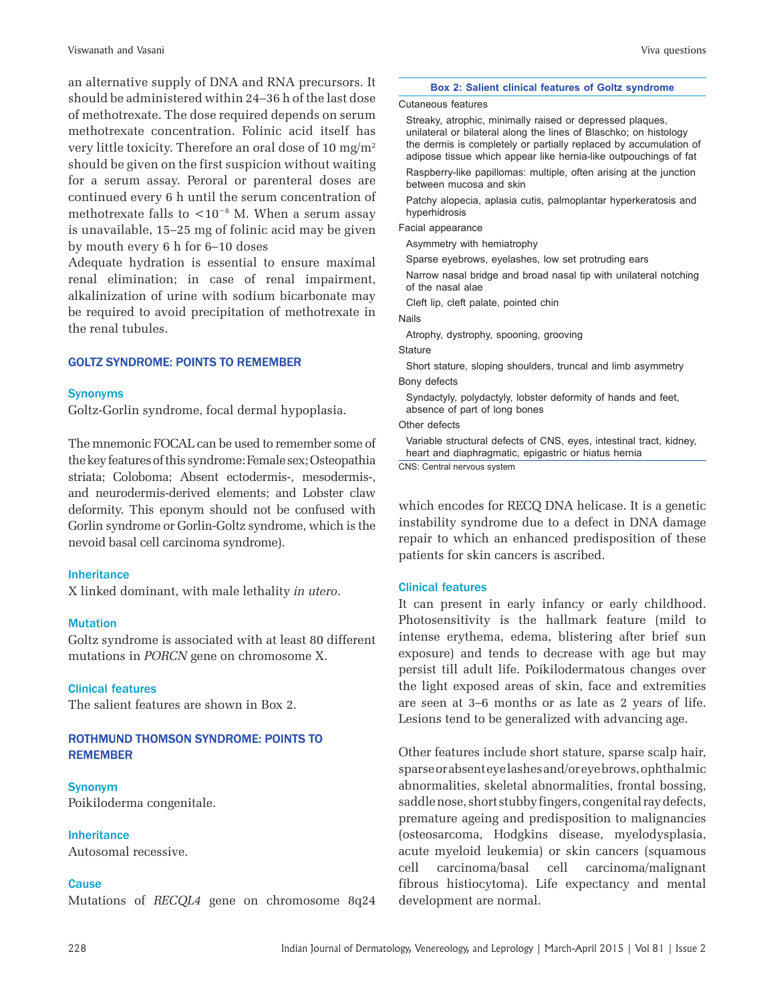an alternative supply of DNA and RNA precursors. It should be administered within 24–36 h of the last dose of methotrexate. The dose required depends on serum methotrexate concentration. Folinic acid itself has very little toxicity. Therefore an oral dose of 10 mg/m2 should be given on the first suspicion without waiting for a serum assay. Peroral or parenteral doses are continued every 6 h until the serum concentration of methotrexate falls to <10<sup>-8</sup> M. When a serum assay is unavailable, 15–25 mg of folinic acid may be given by mouth every 6 h for 6–10 doses

Adequate hydration is essential to ensure maximal renal elimination; in case of renal impairment, alkalinization of urine with sodium bicarbonate may be required to avoid precipitation of methotrexate in the renal tubules.

### **GOLTZ SYNDROME: POINTS TO REMEMBER**

### Synonyms

Goltz-Gorlin syndrome, focal dermal hypoplasia.

The mnemonic FOCAL can be used to remember some of the key features of this syndrome: Female sex; Osteopathia striata; Coloboma; Absent ectodermis-, mesodermis-, and neurodermis-derived elements; and Lobster claw deformity. This eponym should not be confused with Gorlin syndrome or Gorlin-Goltz syndrome, which is the nevoid basal cell carcinoma syndrome).

#### Inheritance

X linked dominant, with male lethality *in utero*.

### Mutation

Goltz syndrome is associated with at least 80 different mutations in *PORCN* gene on chromosome X.

### Clinical features

The salient features are shown in Box 2.

# ROTHMUND THOMSON SYNDROME: POINTS TO **REMEMBER**

Synonym Poikiloderma congenitale.

**Inheritance** 

Autosomal recessive.

### **Cause**

Mutations of *RECQL4* gene on chromosome 8q24

#### **Box 2: Salient clinical features of Goltz syndrome**

#### Cutaneous features

Streaky, atrophic, minimally raised or depressed plaques, unilateral or bilateral along the lines of Blaschko; on histology the dermis is completely or partially replaced by accumulation of adipose tissue which appear like hernia-like outpouchings of fat Raspberry-like papillomas: multiple, often arising at the junction between mucosa and skin

Patchy alopecia, aplasia cutis, palmoplantar hyperkeratosis and hyperhidrosis

Facial appearance

Asymmetry with hemiatrophy

Sparse eyebrows, eyelashes, low set protruding ears

Narrow nasal bridge and broad nasal tip with unilateral notching of the nasal alae

Cleft lip, cleft palate, pointed chin

Nails

Atrophy, dystrophy, spooning, grooving

**Stature** 

Short stature, sloping shoulders, truncal and limb asymmetry Bony defects

Syndactyly, polydactyly, lobster deformity of hands and feet, absence of part of long bones

Other defects

Variable structural defects of CNS, eyes, intestinal tract, kidney, heart and diaphragmatic, epigastric or hiatus hernia

CNS: Central nervous system

which encodes for RECQ DNA helicase. It is a genetic instability syndrome due to a defect in DNA damage repair to which an enhanced predisposition of these patients for skin cancers is ascribed.

### Clinical features

It can present in early infancy or early childhood. Photosensitivity is the hallmark feature (mild to intense erythema, edema, blistering after brief sun exposure) and tends to decrease with age but may persist till adult life. Poikilodermatous changes over the light exposed areas of skin, face and extremities are seen at 3–6 months or as late as 2 years of life. Lesions tend to be generalized with advancing age.

Other features include short stature, sparse scalp hair, sparse or absent eye lashes and/or eye brows, ophthalmic abnormalities, skeletal abnormalities, frontal bossing, saddle nose, short stubby fingers, congenital ray defects, premature ageing and predisposition to malignancies (osteosarcoma, Hodgkins disease, myelodysplasia, acute myeloid leukemia) or skin cancers (squamous cell carcinoma/basal cell carcinoma/malignant fibrous histiocytoma). Life expectancy and mental development are normal.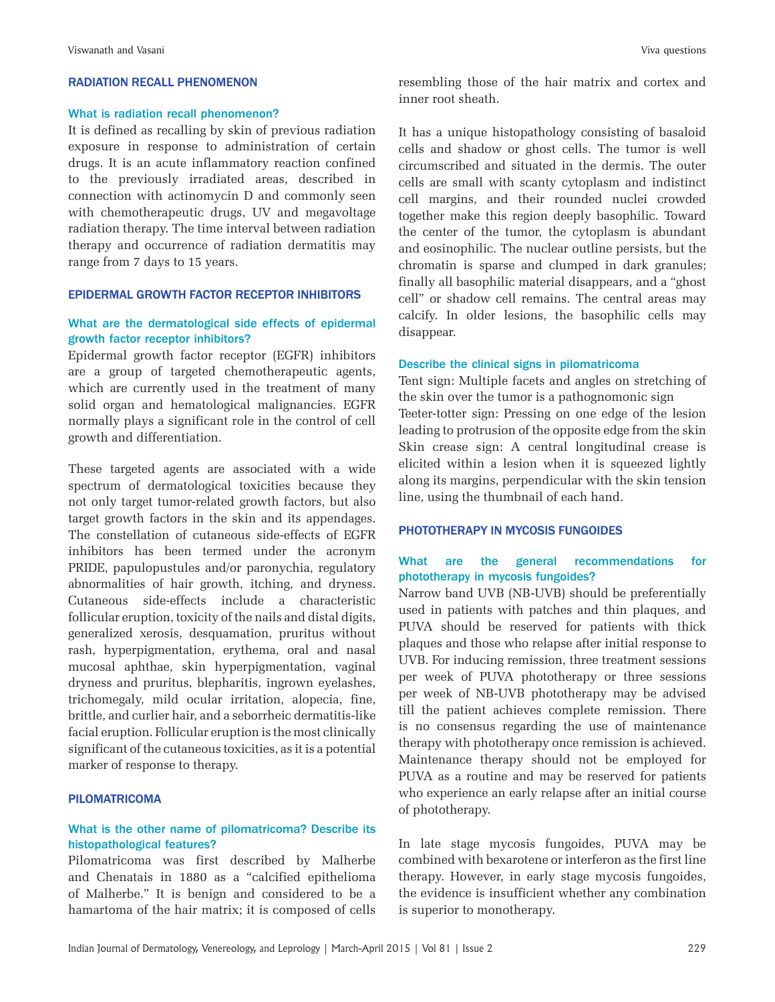### **RADIATION RECALL PHENOMENON**

### What is radiation recall phenomenon?

It is defined as recalling by skin of previous radiation exposure in response to administration of certain drugs. It is an acute inflammatory reaction confined to the previously irradiated areas, described in connection with actinomycin D and commonly seen with chemotherapeutic drugs, UV and megavoltage radiation therapy. The time interval between radiation therapy and occurrence of radiation dermatitis may range from 7 days to 15 years.

#### **EPIDERMAL GROWTH FACTOR RECEPTOR INHIBITORS**

### What are the dermatological side effects of epidermal growth factor receptor inhibitors?

Epidermal growth factor receptor (EGFR) inhibitors are a group of targeted chemotherapeutic agents, which are currently used in the treatment of many solid organ and hematological malignancies. EGFR normally plays a significant role in the control of cell growth and differentiation.

These targeted agents are associated with a wide spectrum of dermatological toxicities because they not only target tumor-related growth factors, but also target growth factors in the skin and its appendages. The constellation of cutaneous side-effects of EGFR inhibitors has been termed under the acronym PRIDE, papulopustules and/or paronychia, regulatory abnormalities of hair growth, itching, and dryness. Cutaneous side-effects include a characteristic follicular eruption, toxicity of the nails and distal digits, generalized xerosis, desquamation, pruritus without rash, hyperpigmentation, erythema, oral and nasal mucosal aphthae, skin hyperpigmentation, vaginal dryness and pruritus, blepharitis, ingrown eyelashes, trichomegaly, mild ocular irritation, alopecia, fine, brittle, and curlier hair, and a seborrheic dermatitis-like facial eruption. Follicular eruption is the most clinically significant of the cutaneous toxicities, as it is a potential marker of response to therapy.

#### **PILOMATRICOMA**

### What is the other name of pilomatricoma? Describe its histopathological features?

Pilomatricoma was first described by Malherbe and Chenatais in 1880 as a "calcified epithelioma of Malherbe." It is benign and considered to be a hamartoma of the hair matrix; it is composed of cells

resembling those of the hair matrix and cortex and inner root sheath.

It has a unique histopathology consisting of basaloid cells and shadow or ghost cells. The tumor is well circumscribed and situated in the dermis. The outer cells are small with scanty cytoplasm and indistinct cell margins, and their rounded nuclei crowded together make this region deeply basophilic. Toward the center of the tumor, the cytoplasm is abundant and eosinophilic. The nuclear outline persists, but the chromatin is sparse and clumped in dark granules; finally all basophilic material disappears, and a "ghost cell" or shadow cell remains. The central areas may calcify. In older lesions, the basophilic cells may disappear.

### Describe the clinical signs in pilomatricoma

Tent sign: Multiple facets and angles on stretching of the skin over the tumor is a pathognomonic sign Teeter-totter sign: Pressing on one edge of the lesion leading to protrusion of the opposite edge from the skin Skin crease sign: A central longitudinal crease is elicited within a lesion when it is squeezed lightly along its margins, perpendicular with the skin tension line, using the thumbnail of each hand.

### PHOTOTHERAPY IN MYCOSIS FUNGOIDES

### What are the general recommendations for phototherapy in mycosis fungoides?

Narrow band UVB (NB-UVB) should be preferentially used in patients with patches and thin plaques, and PUVA should be reserved for patients with thick plaques and those who relapse after initial response to UVB. For inducing remission, three treatment sessions per week of PUVA phototherapy or three sessions per week of NB-UVB phototherapy may be advised till the patient achieves complete remission. There is no consensus regarding the use of maintenance therapy with phototherapy once remission is achieved. Maintenance therapy should not be employed for PUVA as a routine and may be reserved for patients who experience an early relapse after an initial course of phototherapy.

In late stage mycosis fungoides, PUVA may be combined with bexarotene or interferon as the first line therapy. However, in early stage mycosis fungoides, the evidence is insufficient whether any combination is superior to monotherapy.